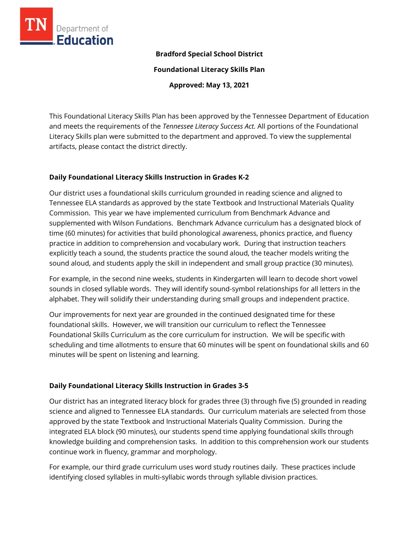

### **Bradford Special School District**

**Foundational Literacy Skills Plan**

**Approved: May 13, 2021**

This Foundational Literacy Skills Plan has been approved by the Tennessee Department of Education and meets the requirements of the *Tennessee Literacy Success Act.* All portions of the Foundational Literacy Skills plan were submitted to the department and approved. To view the supplemental artifacts, please contact the district directly.

## **Daily Foundational Literacy Skills Instruction in Grades K-2**

Our district uses a foundational skills curriculum grounded in reading science and aligned to Tennessee ELA standards as approved by the state Textbook and Instructional Materials Quality Commission. This year we have implemented curriculum from Benchmark Advance and supplemented with Wilson Fundations. Benchmark Advance curriculum has a designated block of time (60 minutes) for activities that build phonological awareness, phonics practice, and fluency practice in addition to comprehension and vocabulary work. During that instruction teachers explicitly teach a sound, the students practice the sound aloud, the teacher models writing the sound aloud, and students apply the skill in independent and small group practice (30 minutes).

For example, in the second nine weeks, students in Kindergarten will learn to decode short vowel sounds in closed syllable words. They will identify sound-symbol relationships for all letters in the alphabet. They will solidify their understanding during small groups and independent practice.

Our improvements for next year are grounded in the continued designated time for these foundational skills. However, we will transition our curriculum to reflect the Tennessee Foundational Skills Curriculum as the core curriculum for instruction. We will be specific with scheduling and time allotments to ensure that 60 minutes will be spent on foundational skills and 60 minutes will be spent on listening and learning.

# **Daily Foundational Literacy Skills Instruction in Grades 3-5**

Our district has an integrated literacy block for grades three (3) through five (5) grounded in reading science and aligned to Tennessee ELA standards. Our curriculum materials are selected from those approved by the state Textbook and Instructional Materials Quality Commission. During the integrated ELA block (90 minutes), our students spend time applying foundational skills through knowledge building and comprehension tasks. In addition to this comprehension work our students continue work in fluency, grammar and morphology.

For example, our third grade curriculum uses word study routines daily. These practices include identifying closed syllables in multi-syllabic words through syllable division practices.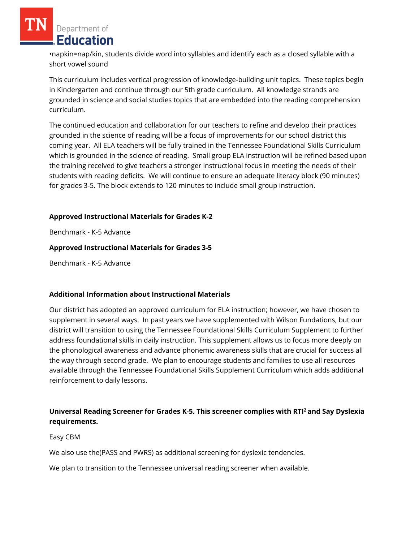Department of **Education** 

•napkin=nap/kin, students divide word into syllables and identify each as a closed syllable with a short vowel sound

This curriculum includes vertical progression of knowledge-building unit topics. These topics begin in Kindergarten and continue through our 5th grade curriculum. All knowledge strands are grounded in science and social studies topics that are embedded into the reading comprehension curriculum.

The continued education and collaboration for our teachers to refine and develop their practices grounded in the science of reading will be a focus of improvements for our school district this coming year. All ELA teachers will be fully trained in the Tennessee Foundational Skills Curriculum which is grounded in the science of reading. Small group ELA instruction will be refined based upon the training received to give teachers a stronger instructional focus in meeting the needs of their students with reading deficits. We will continue to ensure an adequate literacy block (90 minutes) for grades 3-5. The block extends to 120 minutes to include small group instruction.

# **Approved Instructional Materials for Grades K-2**

Benchmark - K-5 Advance

#### **Approved Instructional Materials for Grades 3-5**

Benchmark - K-5 Advance

#### **Additional Information about Instructional Materials**

Our district has adopted an approved curriculum for ELA instruction; however, we have chosen to supplement in several ways. In past years we have supplemented with Wilson Fundations, but our district will transition to using the Tennessee Foundational Skills Curriculum Supplement to further address foundational skills in daily instruction. This supplement allows us to focus more deeply on the phonological awareness and advance phonemic awareness skills that are crucial for success all the way through second grade. We plan to encourage students and families to use all resources available through the Tennessee Foundational Skills Supplement Curriculum which adds additional reinforcement to daily lessons.

# **Universal Reading Screener for Grades K-5. This screener complies with RTI<sup>2</sup>and Say Dyslexia requirements.**

#### Easy CBM

We also use the(PASS and PWRS) as additional screening for dyslexic tendencies.

We plan to transition to the Tennessee universal reading screener when available.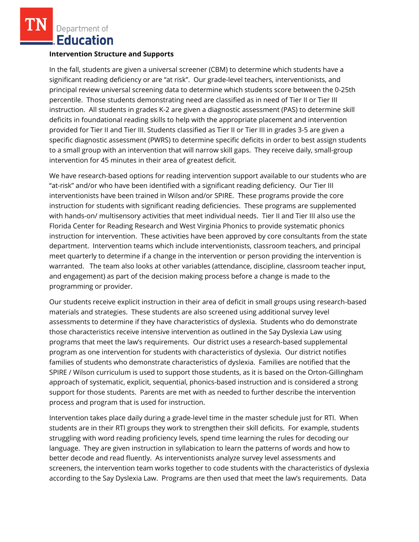Department of Education

#### **Intervention Structure and Supports**

In the fall, students are given a universal screener (CBM) to determine which students have a significant reading deficiency or are "at risk". Our grade-level teachers, interventionists, and principal review universal screening data to determine which students score between the 0-25th percentile. Those students demonstrating need are classified as in need of Tier II or Tier III instruction. All students in grades K-2 are given a diagnostic assessment (PAS) to determine skill deficits in foundational reading skills to help with the appropriate placement and intervention provided for Tier II and Tier III. Students classified as Tier II or Tier III in grades 3-5 are given a specific diagnostic assessment (PWRS) to determine specific deficits in order to best assign students to a small group with an intervention that will narrow skill gaps. They receive daily, small-group intervention for 45 minutes in their area of greatest deficit.

We have research-based options for reading intervention support available to our students who are "at-risk" and/or who have been identified with a significant reading deficiency. Our Tier III interventionists have been trained in Wilson and/or SPIRE. These programs provide the core instruction for students with significant reading deficiencies. These programs are supplemented with hands-on/ multisensory activities that meet individual needs. Tier II and Tier III also use the Florida Center for Reading Research and West Virginia Phonics to provide systematic phonics instruction for intervention. These activities have been approved by core consultants from the state department. Intervention teams which include interventionists, classroom teachers, and principal meet quarterly to determine if a change in the intervention or person providing the intervention is warranted. The team also looks at other variables (attendance, discipline, classroom teacher input, and engagement) as part of the decision making process before a change is made to the programming or provider.

Our students receive explicit instruction in their area of deficit in small groups using research-based materials and strategies. These students are also screened using additional survey level assessments to determine if they have characteristics of dyslexia. Students who do demonstrate those characteristics receive intensive intervention as outlined in the Say Dyslexia Law using programs that meet the law's requirements. Our district uses a research-based supplemental program as one intervention for students with characteristics of dyslexia. Our district notifies families of students who demonstrate characteristics of dyslexia. Families are notified that the SPIRE / Wilson curriculum is used to support those students, as it is based on the Orton-Gillingham approach of systematic, explicit, sequential, phonics-based instruction and is considered a strong support for those students. Parents are met with as needed to further describe the intervention process and program that is used for instruction.

Intervention takes place daily during a grade-level time in the master schedule just for RTI. When students are in their RTI groups they work to strengthen their skill deficits. For example, students struggling with word reading proficiency levels, spend time learning the rules for decoding our language. They are given instruction in syllabication to learn the patterns of words and how to better decode and read fluently. As interventionists analyze survey level assessments and screeners, the intervention team works together to code students with the characteristics of dyslexia according to the Say Dyslexia Law. Programs are then used that meet the law's requirements. Data